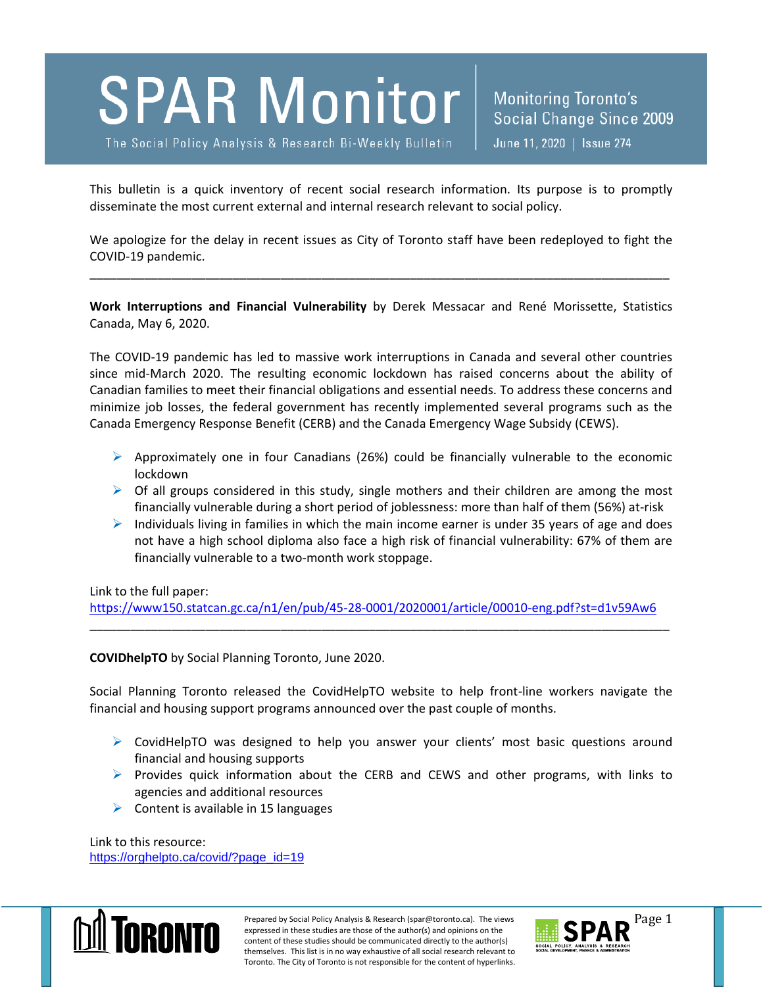

The Social Policy Analysis & Research Bi-Weekly Bulletin

Monitoring Toronto's Social Change Since 2009 June 11, 2020 | Issue 274

This bulletin is a quick inventory of recent social research information. Its purpose is to promptly disseminate the most current external and internal research relevant to social policy.

We apologize for the delay in recent issues as City of Toronto staff have been redeployed to fight the COVID-19 pandemic.

\_\_\_\_\_\_\_\_\_\_\_\_\_\_\_\_\_\_\_\_\_\_\_\_\_\_\_\_\_\_\_\_\_\_\_\_\_\_\_\_\_\_\_\_\_\_\_\_\_\_\_\_\_\_\_\_\_\_\_\_\_\_\_\_\_\_\_\_\_\_\_\_\_\_\_\_\_\_\_\_\_\_\_\_\_

**Work Interruptions and Financial Vulnerability** by Derek Messacar and René Morissette, Statistics Canada, May 6, 2020.

The COVID-19 pandemic has led to massive work interruptions in Canada and several other countries since mid-March 2020. The resulting economic lockdown has raised concerns about the ability of Canadian families to meet their financial obligations and essential needs. To address these concerns and minimize job losses, the federal government has recently implemented several programs such as the Canada Emergency Response Benefit (CERB) and the Canada Emergency Wage Subsidy (CEWS).

- $\triangleright$  Approximately one in four Canadians (26%) could be financially vulnerable to the economic lockdown
- $\triangleright$  Of all groups considered in this study, single mothers and their children are among the most financially vulnerable during a short period of joblessness: more than half of them (56%) at-risk
- $\triangleright$  Individuals living in families in which the main income earner is under 35 years of age and does not have a high school diploma also face a high risk of financial vulnerability: 67% of them are financially vulnerable to a two-month work stoppage.

Link to the full paper:

<https://www150.statcan.gc.ca/n1/en/pub/45-28-0001/2020001/article/00010-eng.pdf?st=d1v59Aw6> \_\_\_\_\_\_\_\_\_\_\_\_\_\_\_\_\_\_\_\_\_\_\_\_\_\_\_\_\_\_\_\_\_\_\_\_\_\_\_\_\_\_\_\_\_\_\_\_\_\_\_\_\_\_\_\_\_\_\_\_\_\_\_\_\_\_\_\_\_\_\_\_\_\_\_\_\_\_\_\_\_\_\_\_\_

**COVIDhelpTO** by Social Planning Toronto, June 2020.

Social Planning Toronto released the CovidHelpTO website to help front-line workers navigate the financial and housing support programs announced over the past couple of months.

- $\triangleright$  CovidHelpTO was designed to help you answer your clients' most basic questions around financial and housing supports
- $\triangleright$  Provides quick information about the CERB and CEWS and other programs, with links to agencies and additional resources
- $\triangleright$  Content is available in 15 languages

Link to this resource: [https://orghelpto.ca/covid/?page\\_id=19](https://orghelpto.ca/covid/?page_id=19)



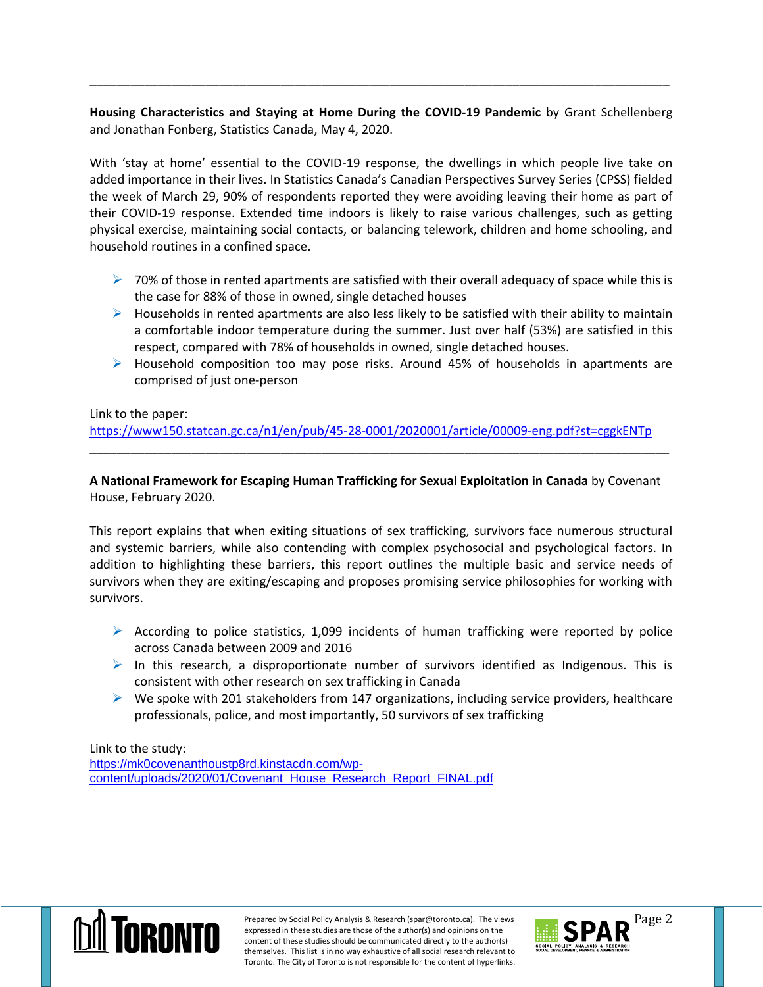# **Housing Characteristics and Staying at Home During the COVID-19 Pandemic** by Grant Schellenberg and Jonathan Fonberg, Statistics Canada, May 4, 2020.

\_\_\_\_\_\_\_\_\_\_\_\_\_\_\_\_\_\_\_\_\_\_\_\_\_\_\_\_\_\_\_\_\_\_\_\_\_\_\_\_\_\_\_\_\_\_\_\_\_\_\_\_\_\_\_\_\_\_\_\_\_\_\_\_\_\_\_\_\_\_\_\_\_\_\_\_\_\_\_\_\_\_\_\_\_

With 'stay at home' essential to the COVID-19 response, the dwellings in which people live take on added importance in their lives. In Statistics Canada's Canadian Perspectives Survey Series (CPSS) fielded the week of March 29, 90% of respondents reported they were avoiding leaving their home as part of their COVID-19 response. Extended time indoors is likely to raise various challenges, such as getting physical exercise, maintaining social contacts, or balancing telework, children and home schooling, and household routines in a confined space.

- $\triangleright$  70% of those in rented apartments are satisfied with their overall adequacy of space while this is the case for 88% of those in owned, single detached houses
- $\triangleright$  Households in rented apartments are also less likely to be satisfied with their ability to maintain a comfortable indoor temperature during the summer. Just over half (53%) are satisfied in this respect, compared with 78% of households in owned, single detached houses.
- $\triangleright$  Household composition too may pose risks. Around 45% of households in apartments are comprised of just one-person

## Link to the paper:

<https://www150.statcan.gc.ca/n1/en/pub/45-28-0001/2020001/article/00009-eng.pdf?st=cggkENTp> \_\_\_\_\_\_\_\_\_\_\_\_\_\_\_\_\_\_\_\_\_\_\_\_\_\_\_\_\_\_\_\_\_\_\_\_\_\_\_\_\_\_\_\_\_\_\_\_\_\_\_\_\_\_\_\_\_\_\_\_\_\_\_\_\_\_\_\_\_\_\_\_\_\_\_\_\_\_\_\_\_\_\_\_\_

## **A National Framework for Escaping Human Trafficking for Sexual Exploitation in Canada** by Covenant House, February 2020.

This report explains that when exiting situations of sex trafficking, survivors face numerous structural and systemic barriers, while also contending with complex psychosocial and psychological factors. In addition to highlighting these barriers, this report outlines the multiple basic and service needs of survivors when they are exiting/escaping and proposes promising service philosophies for working with survivors.

- $\triangleright$  According to police statistics, 1,099 incidents of human trafficking were reported by police across Canada between 2009 and 2016
- $\triangleright$  In this research, a disproportionate number of survivors identified as Indigenous. This is consistent with other research on sex trafficking in Canada
- $\triangleright$  We spoke with 201 stakeholders from 147 organizations, including service providers, healthcare professionals, police, and most importantly, 50 survivors of sex trafficking

## Link to the study:

[https://mk0covenanthoustp8rd.kinstacdn.com/wp](https://mk0covenanthoustp8rd.kinstacdn.com/wp-content/uploads/2020/01/Covenant_House_Research_Report_FINAL.pdf)[content/uploads/2020/01/Covenant\\_House\\_Research\\_Report\\_FINAL.pdf](https://mk0covenanthoustp8rd.kinstacdn.com/wp-content/uploads/2020/01/Covenant_House_Research_Report_FINAL.pdf)